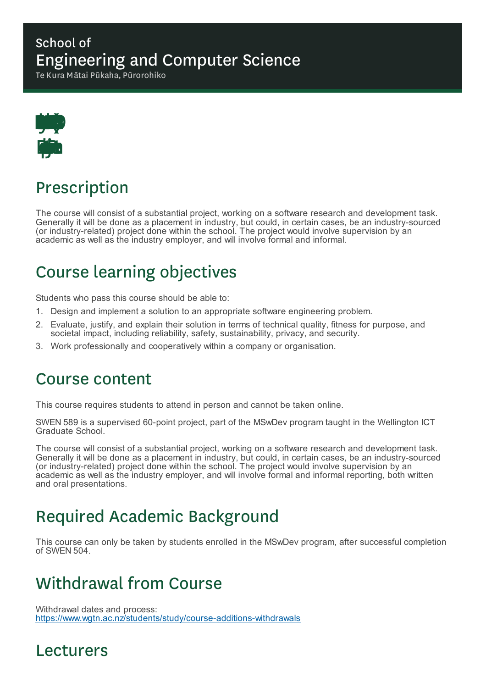#### School of Engineering and Computer Science

Te Kura Mātai Pūkaha, Pūrorohiko



## Prescription

The course will consist of a substantial project, working on a software research and development task. Generally it will be done as a placement in industry, but could, in certain cases, be an industry-sourced (or industry-related) project done within the school. The project would involve supervision by an academic as well as the industry employer, and will involve formal and informal.

## Course learning objectives

Students who pass this course should be able to:

- 1. Design and implement a solution to an appropriate software engineering problem.
- 2. Evaluate, justify, and explain their solution in terms of technical quality, fitness for purpose, and societal impact, including reliability, safety, sustainability, privacy, and security.
- 3. Work professionally and cooperatively within a company or organisation.

#### Course content

This course requires students to attend in person and cannot be taken online.

SWEN 589 is a supervised 60-point project, part of the MSwDev program taught in the Wellington ICT Graduate School.

The course will consist of a substantial project, working on a software research and development task. Generally it will be done as a placement in industry, but could, in certain cases, be an industry-sourced (or industry-related) project done within the school. The project would involve supervision by an academic as well as the industry employer, and will involve formal and informal reporting, both written and oral presentations.

## Required Academic Background

This course can only be taken by students enrolled in the MSwDev program, after successful completion of SWEN 504.

### Withdrawal from Course

Withdrawal dates and process: https://www.wgtn.ac.nz/students/study/course-additions-withdrawals

#### Lecturers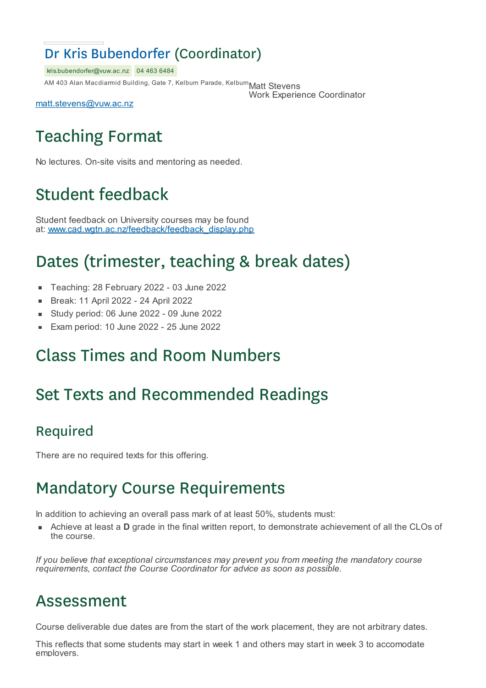#### Dr Kris Bubendorfer (Coordinator)

kris.bubendorfer@vuw.ac.nz 04 463 6484

AM 403 Alan Macdiarmid Building, Gate 7, Kelburn Parade, Kelburn $\mathsf{Matt}$  Stevens

Work Experience Coordinator

matt.stevens@vuw.ac.nz

# Teaching Format

No lectures. On-site visits and mentoring as needed.

## Student feedback

Student feedback on University courses may be found at: www.cad.wgtn.ac.nz/feedback/feedback\_display.php

## Dates (trimester, teaching & break dates)

- Teaching: 28 February 2022 03 June 2022
- Break: 11 April 2022 24 April 2022  $\blacksquare$
- Study period: 06 June 2022 09 June 2022
- Exam period: 10 June 2022 25 June 2022

## Class Times and Room Numbers

## Set Texts and Recommended Readings

#### Required

There are no required texts for this offering.

## Mandatory Course Requirements

In addition to achieving an overall pass mark of at least 50%, students must:

Achieve at least a **D** grade in the final written report, to demonstrate achievement of all the CLOs of the course.

*If you believe that exceptional circumstances may prevent you from meeting the mandatory course requirements, contact the Course Coordinator for advice as soon as possible.*

#### Assessment

Course deliverable due dates are from the start of the work placement, they are not arbitrary dates.

This reflects that some students may start in week 1 and others may start in week 3 to accomodate employers.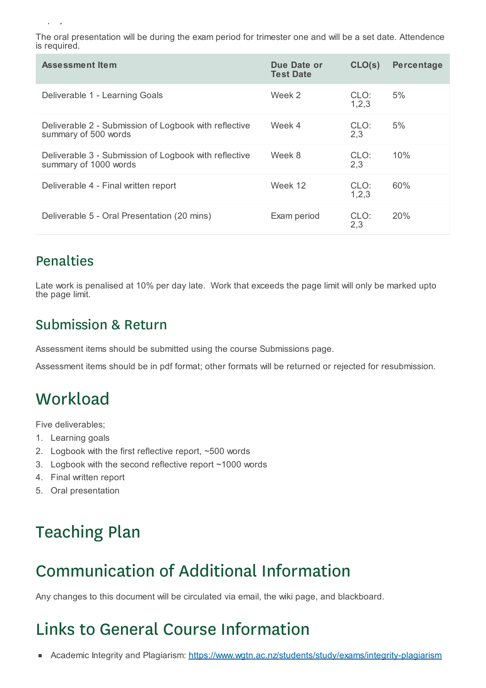The oral presentation will be during the exam period for trimester one and will be a set date. Attendence is required.

| Assessment Item                                                                | Due Date or<br><b>Test Date</b> | CLO(s)          | Percentage |
|--------------------------------------------------------------------------------|---------------------------------|-----------------|------------|
| Deliverable 1 - Learning Goals                                                 | Week 2                          | CLO:<br>1, 2, 3 | 5%         |
| Deliverable 2 - Submission of Logbook with reflective<br>summary of 500 words  | Week 4                          | CLO:<br>2,3     | 5%         |
| Deliverable 3 - Submission of Logbook with reflective<br>summary of 1000 words | Week 8                          | CLO:<br>2,3     | 10%        |
| Deliverable 4 - Final written report                                           | Week 12                         | CLO:<br>1, 2, 3 | 60%        |
| Deliverable 5 - Oral Presentation (20 mins)                                    | Exam period                     | CLO:<br>2,3     | <b>20%</b> |

#### Penalties

employers.

Late work is penalised at 10% per day late. Work that exceeds the page limit will only be marked upto the page limit.

#### Submission & Return

Assessment items should be submitted using the course Submissions page.

Assessment items should be in pdf format; other formats will be returned or rejected for resubmission.

# **Workload**

Five deliverables;

- 1. Learning goals
- 2. Logbook with the first reflective report, ~500 words
- 3. Logbook with the second reflective report ~1000 words
- 4. Final written report
- 5. Oral presentation

# Teaching Plan

# Communication of Additional Information

Any changes to this document will be circulated via email, the wiki page, and blackboard.

# Links to General Course Information

Academic Integrity and Plagiarism: https://www.wgtn.ac.nz/students/study/exams/integrity-plagiarism